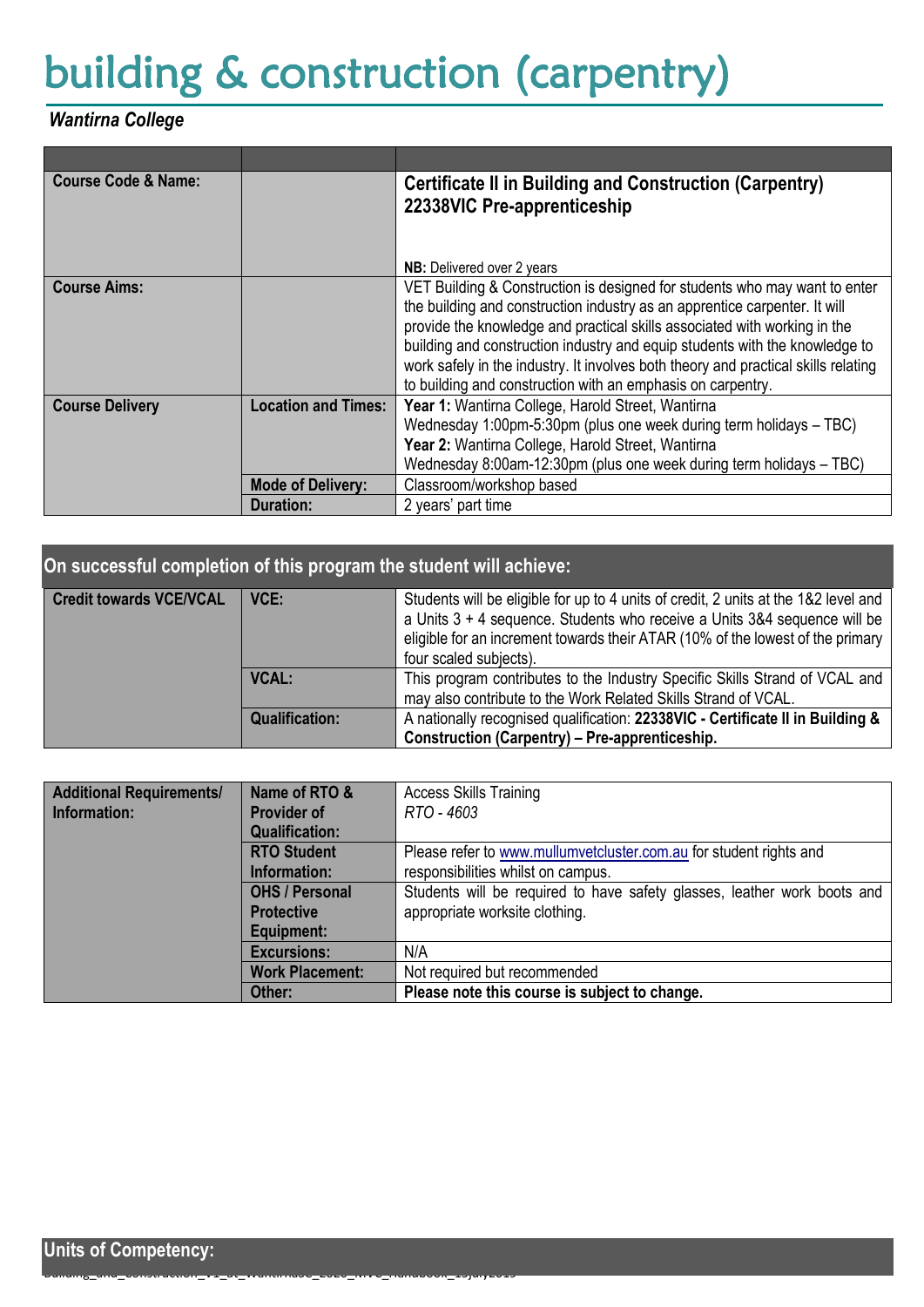## building & construction (carpentry)

## *Wantirna College*

| <b>Course Code &amp; Name:</b> |                                                                                                                                                                                                                                                                                   | <b>Certificate II in Building and Construction (Carpentry)</b><br>22338VIC Pre-apprenticeship                                                                                                                                                                                                                                                                                                                                                                             |
|--------------------------------|-----------------------------------------------------------------------------------------------------------------------------------------------------------------------------------------------------------------------------------------------------------------------------------|---------------------------------------------------------------------------------------------------------------------------------------------------------------------------------------------------------------------------------------------------------------------------------------------------------------------------------------------------------------------------------------------------------------------------------------------------------------------------|
|                                |                                                                                                                                                                                                                                                                                   | <b>NB:</b> Delivered over 2 years                                                                                                                                                                                                                                                                                                                                                                                                                                         |
| <b>Course Aims:</b>            |                                                                                                                                                                                                                                                                                   | VET Building & Construction is designed for students who may want to enter<br>the building and construction industry as an apprentice carpenter. It will<br>provide the knowledge and practical skills associated with working in the<br>building and construction industry and equip students with the knowledge to<br>work safely in the industry. It involves both theory and practical skills relating<br>to building and construction with an emphasis on carpentry. |
| <b>Course Delivery</b>         | Year 1: Wantirna College, Harold Street, Wantirna<br><b>Location and Times:</b><br>Wednesday 1:00pm-5:30pm (plus one week during term holidays - TBC)<br>Year 2: Wantirna College, Harold Street, Wantirna<br>Wednesday 8:00am-12:30pm (plus one week during term holidays - TBC) |                                                                                                                                                                                                                                                                                                                                                                                                                                                                           |
|                                | <b>Mode of Delivery:</b>                                                                                                                                                                                                                                                          | Classroom/workshop based                                                                                                                                                                                                                                                                                                                                                                                                                                                  |
|                                | Duration:                                                                                                                                                                                                                                                                         | 2 years' part time                                                                                                                                                                                                                                                                                                                                                                                                                                                        |

| On successful completion of this program the student will achieve: |                       |                                                                                                                                                                                                                                                                              |  |  |
|--------------------------------------------------------------------|-----------------------|------------------------------------------------------------------------------------------------------------------------------------------------------------------------------------------------------------------------------------------------------------------------------|--|--|
| <b>Credit towards VCE/VCAL</b>                                     | VCE:                  | Students will be eligible for up to 4 units of credit, 2 units at the 1&2 level and<br>a Units 3 + 4 sequence. Students who receive a Units 3&4 sequence will be<br>eligible for an increment towards their ATAR (10% of the lowest of the primary<br>four scaled subjects). |  |  |
|                                                                    | <b>VCAL:</b>          | This program contributes to the Industry Specific Skills Strand of VCAL and<br>may also contribute to the Work Related Skills Strand of VCAL.                                                                                                                                |  |  |
|                                                                    | <b>Qualification:</b> | A nationally recognised qualification: 22338VIC - Certificate II in Building &<br>Construction (Carpentry) – Pre-apprenticeship.                                                                                                                                             |  |  |

| <b>Additional Requirements/</b> | Name of RTO &          | <b>Access Skills Training</b>                                            |  |  |
|---------------------------------|------------------------|--------------------------------------------------------------------------|--|--|
| Information:                    | <b>Provider of</b>     | RTO - 4603                                                               |  |  |
|                                 | <b>Qualification:</b>  |                                                                          |  |  |
|                                 | <b>RTO Student</b>     | Please refer to www.mullumvetcluster.com.au for student rights and       |  |  |
|                                 | <b>Information:</b>    | responsibilities whilst on campus.                                       |  |  |
|                                 | <b>OHS / Personal</b>  | Students will be required to have safety glasses, leather work boots and |  |  |
|                                 | <b>Protective</b>      | appropriate worksite clothing.                                           |  |  |
|                                 | Equipment:             |                                                                          |  |  |
|                                 | <b>Excursions:</b>     | N/A                                                                      |  |  |
|                                 | <b>Work Placement:</b> | Not required but recommended                                             |  |  |
|                                 | Other:                 | Please note this course is subject to change.                            |  |  |

Building\_and\_Construction\_V1\_at\_WantirnaSC\_2020\_MVC\_Handbook\_15july2019